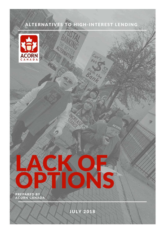# ALTERNATIVES TO HIGH-INTEREST LENDING

Inada





JULY 2018

LACK OF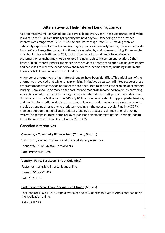# **Alternatives to High-interest Lending Canada**

Approximately 2 million Canadians use payday loans every year. These unsecured, small value loans of up to \$1,500 are usually repaid by the next payday. Depending on the province, interest rates range from 391% - 652% Annual Percentage Rate (APR), making them an extremely expensive form of borrowing. Payday loans are primarily used by low and moderate income Canadians, often as result of financial exclusion by mainstream banking. For example, most banks charge NSF fees of \$48, banks often do not extend credit to low-income customers, or branches may not be located in a geographically convenient location. Other types of high-interest lenders are emerging as provinces tighten regulations on payday lenders and banks fail to meet the needs of low and moderate income earners, including installment loans, car title loans and rent to own lenders.

A number of alternatives to high-interest lenders have been identified. This initial scan of the alternatives revealed that while some promising initiatives do exist, the limited scope of these programs means that they do not meet the scale required to address the problem of predatory lending. Banks should do more to support low and moderate income borrowers, by providing access to low-interest credit for emergencies; low-interest overdraft protection; no holds on cheques; and lower NSF fees from \$45 to \$10. Decision makers should support postal banking and credit union credit products geared toward low and moderate income earners in order to provide a genuine alternative to predatory lending on the necessary scale. Finally, ACORN members support a national anti-predatory lending strategy; a real time national tracking system (or database) to help stop roll over loans; and an amendment of the Criminal Code to lower the maximum interest rate from 60% to 30%.

# **Canadian Alternatives**

# **Causeway - [Community](https://www.causewayfinancefund.com/) Finance Fund (Ottawa, Ontario)**

Short-term, low-interest loans and financial literacy resources.

Loans of \$500-\$1,500 for up to 3 years.

Rate: Prime plus 2-6%

# **[Vancity](https://www.vancity.com/Loans/TypesOfLoans/FairAndFastLoan/) - Fair & Fast Loan (British Columbia)**

Fast, short-term, low-interest loans online.

Loans of \$100-\$2,500

Rate: 19% APR

#### **Fast [Forward](https://www.servus.ca/life/personal-loans/fast-forward-small-loan) Small Loan - Servus Credit Union (Alberta)**

Fast loans of \$200-\$2,500, repaid over a period of 3 months to 2 years. Applicants can begin the application online.

Rate: 19% APR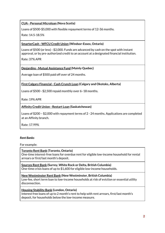## **CUA - Personal [Microloan](https://www.cua.com/Home/ProductsAndServices/MortgagesandLoans/Microloans/) (Nova Scotia)**

Loans of \$500-\$5,000 with flexible repayment terms of 12-36 months.

Rate: 14.5-18.5%

#### **[SmarterCash](https://www.wfcu.ca/Personal/ProductsAndServices/LoansLinesOfCreditAndMortgages/Loans/SmarterCash/) - WFCU Credit Union (Windsor-Essex, Ontario)**

Loans of \$500 (or less) - \$2,000. Funds are advanced by cash on the spot with instant approval, or by pre-authorized credit to an account at a designated financial institution.

Rate: 37% APR

#### **Desjardins - Mutual [Assistance](https://www.desjardins.com/ca/about-us/social-responsibility-cooperation/responsible-financial-products-services/solidarity-based-finance/mutual-assistance-fund/index.jsp) Fund (Mainly Quebec)**

Average loan of \$500 paid off over of 24 months.

#### **First Calgary [Financial](https://www.firstcalgary.com/loans-and-financing/micro-loans) - Cash Crunch Loan (Calgary and Okotoks, Alberta)**

Loans of \$500 - \$2,500 repaid monthly over 6–18 months.

Rate: 19% APR

#### **[Affinity](https://www.affinitycu.ca/borrowing/personal/loans/restart-loans) Credit Union - Restart Loan (Saskatchewan)**

Loans of \$200 – \$2,000 with repayment terms of 2 - 24 months. Applications are completed at an Affinity branch.

Rate: 17.99%

#### *Rent Banks*

For example:

#### **[Toronto](http://www.nipost.org/toronto-rent-bank/) Rent Bank (Toronto, Ontario)**

One-time interest-free loans for overdue rent for eligible low-income household for rental arrears or first/last month's deposit.

#### **[Sources](https://www.sourcesbc.ca/our-services/sources-rent-bank/) Rent Bank (Surrey, White Rock or Delta, British Columbia)**

One-time crisis loans of up to \$1,600 for eligible low-income households.

#### **New [Westminster](http://www.purposesociety.org/events/categories/family-programs/rent-bank/) Rent Bank (New Westminster, British Columbia)**

Low-fee, short term loan to low-income households at risk of eviction or essential utility disconnection.

#### **Housing [Stability](https://centreofhope.ca/services/housing) Bank (London, Ontario)**

Interest free loans of up to 2 month's rent to help with rent arrears, first/last month's deposit, for households below the low-income measure.